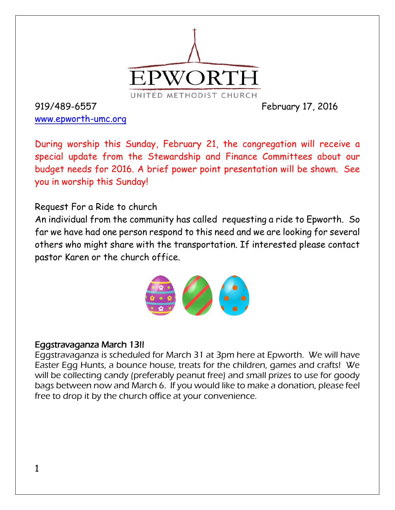

919/489-6557 February 17, 2016 [www.epworth-umc.org](http://www.epworth-umc.org/)

During worship this Sunday, February 21, the congregation will receive a special update from the Stewardship and Finance Committees about our budget needs for 2016. A brief power point presentation will be shown. See you in worship this Sunday!

## Request For a Ride to church

An individual from the community has called requesting a ride to Epworth. So far we have had one person respond to this need and we are looking for several others who might share with the transportation. If interested please contact pastor Karen or the church office.

#### Eggstravaganza March 13!!

Eggstravaganza is scheduled for March 31 at 3pm here at Epworth. We will have Easter Egg Hunts, a bounce house, treats for the children, games and crafts! We will be collecting candy (preferably peanut free) and small prizes to use for goody bags between now and March 6. If you would like to make a donation, please feel free to drop it by the church office at your convenience.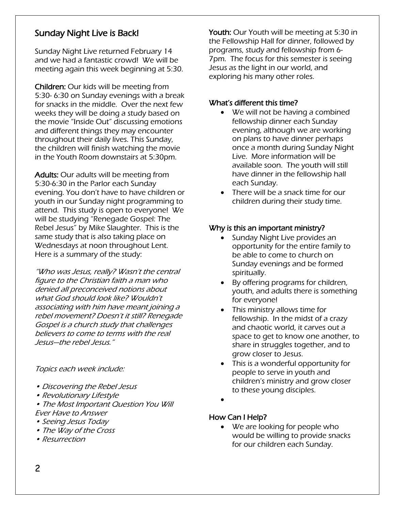### Sunday Night Live is Back!

 $\overline{a}$ 

Sunday Night Live returned February 14 and we had a fantastic crowd! We will be meeting again this week beginning at 5:30.

Children: Our kids will be meeting from 5:30- 6:30 on Sunday evenings with a break for snacks in the middle. Over the next few weeks they will be doing a study based on the movie "Inside Out" discussing emotions and different things they may encounter throughout their daily lives. This Sunday, the children will finish watching the movie in the Youth Room downstairs at 5:30pm.

Adults: Our adults will be meeting from 5:30-6:30 in the Parlor each Sunday evening. You don't have to have children or youth in our Sunday night programming to attend. This study is open to everyone! We will be studying "Renegade Gospel: The Rebel Jesus" by Mike Slaughter. This is the same study that is also taking place on Wednesdays at noon throughout Lent. Here is a summary of the study:

"Who was Jesus, really? Wasn't the central figure to the Christian faith a man who denied all preconceived notions about what God should look like? Wouldn't associating with him have meant joining a rebel movement? Doesn't it still? Renegade Gospel is a church study that challenges believers to come to terms with the real Jesus—the rebel Jesus."

Topics each week include:

- Discovering the Rebel Jesus
- Revolutionary Lifestyle
- The Most Important Question You Will Ever Have to Answer
- Seeing Jesus Today
- The Way of the Cross
- Resurrection

Youth: Our Youth will be meeting at 5:30 in the Fellowship Hall for dinner, followed by programs, study and fellowship from 6- 7pm. The focus for this semester is seeing Jesus as the light in our world, and exploring his many other roles.

#### What's different this time?

- We will not be having a combined fellowship dinner each Sunday evening, although we are working on plans to have dinner perhaps once a month during Sunday Night Live. More information will be available soon. The youth will still have dinner in the fellowship hall each Sunday.
- There will be a snack time for our children during their study time.

#### Why is this an important ministry?

- Sunday Night Live provides an opportunity for the entire family to be able to come to church on Sunday evenings and be formed spiritually.
- By offering programs for children, youth, and adults there is something for everyone!
- This ministry allows time for fellowship. In the midst of a crazy and chaotic world, it carves out a space to get to know one another, to share in struggles together, and to grow closer to Jesus.
- This is a wonderful opportunity for people to serve in youth and children's ministry and grow closer to these young disciples.
- $\bullet$
- How Can I Help?
	- We are looking for people who would be willing to provide snacks for our children each Sunday.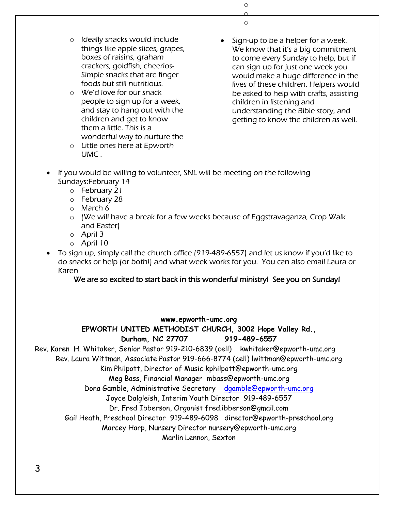o o o

- o Ideally snacks would include things like apple slices, grapes, boxes of raisins, graham crackers, goldfish, cheerios-Simple snacks that are finger foods but still nutritious.
- o We'd love for our snack people to sign up for a week, and stay to hang out with the children and get to know them a little. This is a wonderful way to nurture the
- o Little ones here at Epworth UMC .
- Sign-up to be a helper for a week. We know that it's a big commitment to come every Sunday to help, but if can sign up for just one week you would make a huge difference in the lives of these children. Helpers would be asked to help with crafts, assisting children in listening and understanding the Bible story, and getting to know the children as well.
- If you would be willing to volunteer, SNL will be meeting on the following Sundays:February 14
	- o February 21
	- o February 28
	- o March 6
	- o (We will have a break for a few weeks because of Eggstravaganza, Crop Walk and Easter)
	- o April 3
	- o April 10
- To sign up, simply call the church office (919-489-6557) and let us know if you'd like to do snacks or help (or both!) and what week works for you. You can also email Laura or Karen

#### We are so excited to start back in this wonderful ministry! See you on Sunday!

#### **www.epworth-umc.org**

#### **EPWORTH UNITED METHODIST CHURCH, 3002 Hope Valley Rd.,**

**Durham, NC 27707 919-489-6557**

Rev. Karen H. Whitaker, Senior Pastor 919-210-6839 (cell) kwhitaker@epworth-umc.org

Rev. Laura Wittman, Associate Pastor 919-666-8774 (cell) lwittman@epworth-umc.org

Kim Philpott, Director of Music kphilpott@epworth-umc.org

Meg Bass, Financial Manager mbass@epworth-umc.org

Dona Gamble, Administrative Secretary [dgamble@epworth-umc.org](mailto:dgamble@epworth-umc.org)

Joyce Dalgleish, Interim Youth Director 919-489-6557

Dr. Fred Ibberson, Organist fred.ibberson@gmail.com

Gail Heath, Preschool Director 919-489-6098 director@epworth-preschool.org

Marcey Harp, Nursery Director nursery@epworth-umc.org

Marlin Lennon, Sexton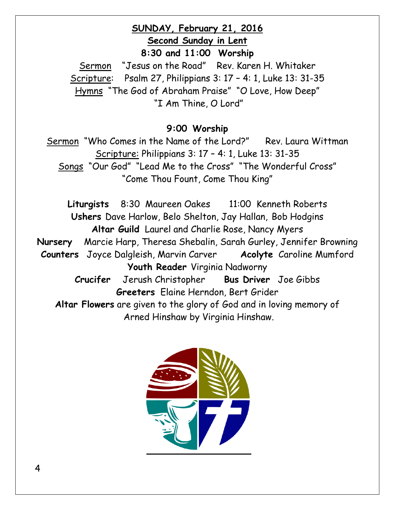## **SUNDAY, February 21, 2016 Second Sunday in Lent 8:30 and 11:00 Worship**

Sermon "Jesus on the Road" Rev. Karen H. Whitaker Scripture: Psalm 27, Philippians 3: 17 – 4: 1, Luke 13: 31-35 Hymns "The God of Abraham Praise" "O Love, How Deep" "I Am Thine, O Lord"

## **9:00 Worship**

Sermon "Who Comes in the Name of the Lord?" Rev. Laura Wittman Scripture: Philippians 3: 17 – 4: 1, Luke 13: 31-35 Songs "Our God" "Lead Me to the Cross" "The Wonderful Cross" "Come Thou Fount, Come Thou King"

**Liturgists** 8:30 Maureen Oakes 11:00 Kenneth Roberts **Ushers** Dave Harlow, Belo Shelton, Jay Hallan, Bob Hodgins **Altar Guild** Laurel and Charlie Rose, Nancy Myers **Nursery** Marcie Harp, Theresa Shebalin, Sarah Gurley, Jennifer Browning **Counters** Joyce Dalgleish, Marvin Carver **Acolyte** Caroline Mumford **Youth Reader** Virginia Nadworny **Crucifer** Jerush Christopher **Bus Driver** Joe Gibbs **Greeters** Elaine Herndon, Bert Grider **Altar Flowers** are given to the glory of God and in loving memory of Arned Hinshaw by Virginia Hinshaw.

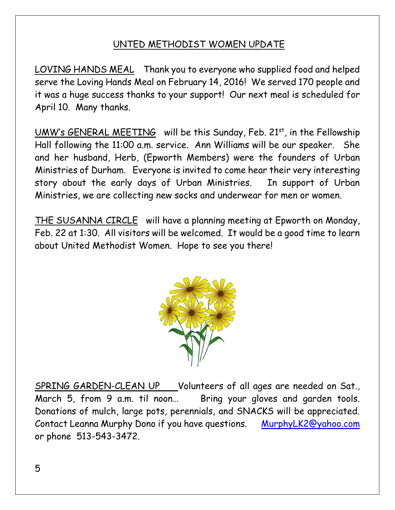# UNTED METHODIST WOMEN UPDATE

LOVING HANDS MEAL Thank you to everyone who supplied food and helped serve the Loving Hands Meal on February 14, 2016! We served 170 people and it was a huge success thanks to your support! Our next meal is scheduled for April 10. Many thanks.

UMW's GENERAL MEETING will be this Sunday, Feb. 21st, in the Fellowship Hall following the 11:00 a.m. service. Ann Williams will be our speaker. She and her husband, Herb, (Epworth Members) were the founders of Urban Ministries of Durham. Everyone is invited to come hear their very interesting story about the early days of Urban Ministries. In support of Urban Ministries, we are collecting new socks and underwear for men or women.

THE SUSANNA CIRCLE will have a planning meeting at Epworth on Monday, Feb. 22 at 1:30. All visitors will be welcomed. It would be a good time to learn about United Methodist Women. Hope to see you there!



SPRING GARDEN-CLEAN UP Volunteers of all ages are needed on Sat., March 5, from 9 a.m. til noon… Bring your gloves and garden tools. Donations of mulch, large pots, perennials, and SNACKS will be appreciated. Contact Leanna Murphy Dono if you have questions. MurphyLK2@yahoo.com or phone 513-543-3472.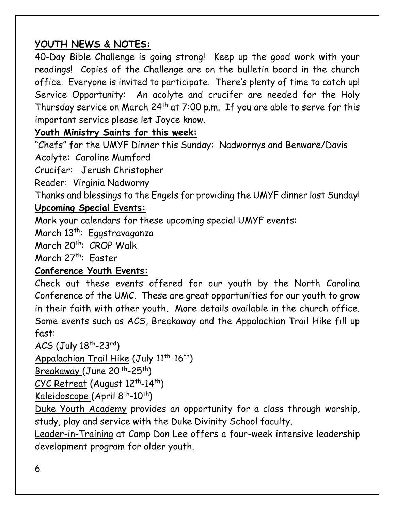# **YOUTH NEWS & NOTES:**

40-Day Bible Challenge is going strong! Keep up the good work with your readings! Copies of the Challenge are on the bulletin board in the church office. Everyone is invited to participate. There's plenty of time to catch up! Service Opportunity: An acolyte and crucifer are needed for the Holy Thursday service on March  $24<sup>th</sup>$  at 7:00 p.m. If you are able to serve for this important service please let Joyce know.

# **Youth Ministry Saints for this week:**

"Chefs" for the UMYF Dinner this Sunday: Nadwornys and Benware/Davis Acolyte: Caroline Mumford

Crucifer: Jerush Christopher

Reader: Virginia Nadworny

Thanks and blessings to the Engels for providing the UMYF dinner last Sunday!

# **Upcoming Special Events:**

Mark your calendars for these upcoming special UMYF events:

March 13<sup>th</sup>: Eggstravaganza

March 20<sup>th</sup>: CROP Walk

March 27<sup>th</sup>: Faster

# **Conference Youth Events:**

Check out these events offered for our youth by the North Carolina Conference of the UMC. These are great opportunities for our youth to grow in their faith with other youth. More details available in the church office. Some events such as ACS, Breakaway and the Appalachian Trail Hike fill up fast:

# ACS (July 18<sup>th</sup>-23<sup>rd</sup>)

Appalachian Trail Hike (July 11<sup>th</sup>-16<sup>th</sup>)

Breakaway (June 20<sup>th</sup>-25<sup>th</sup>)

<u>CYC Retreat</u> (August 12<sup>th</sup>-14<sup>th</sup>)

Kaleidoscope (April 8<sup>th</sup>-10<sup>th</sup>)

Duke Youth Academy provides an opportunity for a class through worship, study, play and service with the Duke Divinity School faculty.

Leader-in-Training at Camp Don Lee offers a four-week intensive leadership development program for older youth.